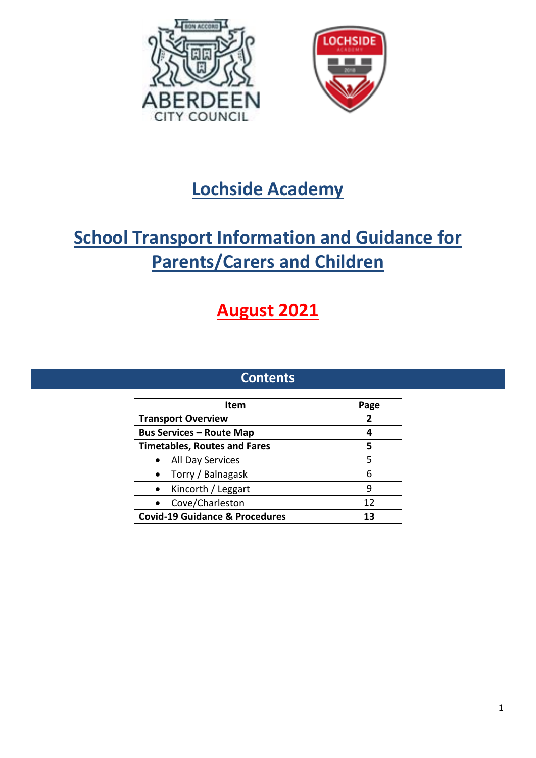



## **Lochside Academy**

# **School Transport Information and Guidance for Parents/Carers and Children**

# **August 2021**

### **Contents**

| Item                                      | Page |
|-------------------------------------------|------|
| <b>Transport Overview</b>                 | 2    |
| <b>Bus Services - Route Map</b>           | 4    |
| <b>Timetables, Routes and Fares</b>       | 5    |
| All Day Services                          | 5    |
| Torry / Balnagask                         | 6    |
| Kincorth / Leggart<br>$\bullet$           | q    |
| Cove/Charleston                           | 12   |
| <b>Covid-19 Guidance &amp; Procedures</b> | 13   |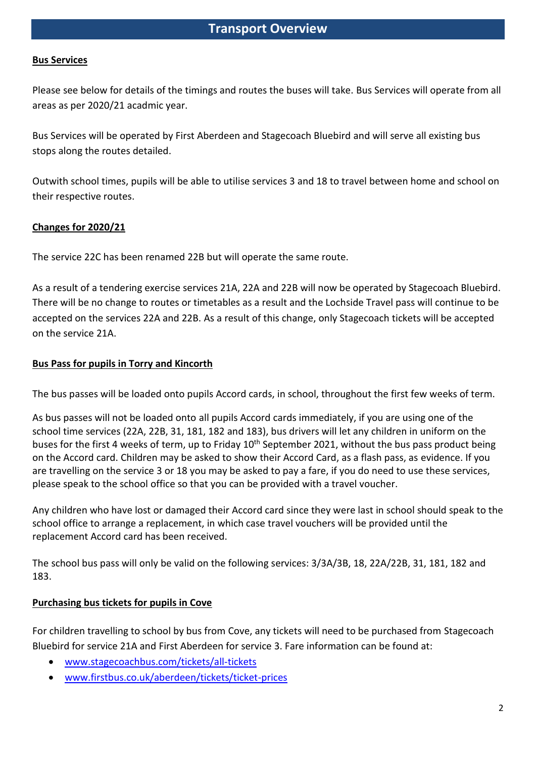#### **Bus Services**

Please see below for details of the timings and routes the buses will take. Bus Services will operate from all areas as per 2020/21 acadmic year.

Bus Services will be operated by First Aberdeen and Stagecoach Bluebird and will serve all existing bus stops along the routes detailed.

Outwith school times, pupils will be able to utilise services 3 and 18 to travel between home and school on their respective routes.

#### **Changes for 2020/21**

The service 22C has been renamed 22B but will operate the same route.

As a result of a tendering exercise services 21A, 22A and 22B will now be operated by Stagecoach Bluebird. There will be no change to routes or timetables as a result and the Lochside Travel pass will continue to be accepted on the services 22A and 22B. As a result of this change, only Stagecoach tickets will be accepted on the service 21A.

#### **Bus Pass for pupils in Torry and Kincorth**

The bus passes will be loaded onto pupils Accord cards, in school, throughout the first few weeks of term.

As bus passes will not be loaded onto all pupils Accord cards immediately, if you are using one of the school time services (22A, 22B, 31, 181, 182 and 183), bus drivers will let any children in uniform on the buses for the first 4 weeks of term, up to Friday 10<sup>th</sup> September 2021, without the bus pass product being on the Accord card. Children may be asked to show their Accord Card, as a flash pass, as evidence. If you are travelling on the service 3 or 18 you may be asked to pay a fare, if you do need to use these services, please speak to the school office so that you can be provided with a travel voucher.

Any children who have lost or damaged their Accord card since they were last in school should speak to the school office to arrange a replacement, in which case travel vouchers will be provided until the replacement Accord card has been received.

The school bus pass will only be valid on the following services: 3/3A/3B, 18, 22A/22B, 31, 181, 182 and 183.

#### **Purchasing bus tickets for pupils in Cove**

For children travelling to school by bus from Cove, any tickets will need to be purchased from Stagecoach Bluebird for service 21A and First Aberdeen for service 3. Fare information can be found at:

- [www.stagecoachbus.com/tickets/all-tickets](http://www.stagecoachbus.com/tickets/all-tickets)
- [www.firstbus.co.uk/aberdeen/tickets/ticket-prices](http://www.firstbus.co.uk/aberdeen/tickets/ticket-prices)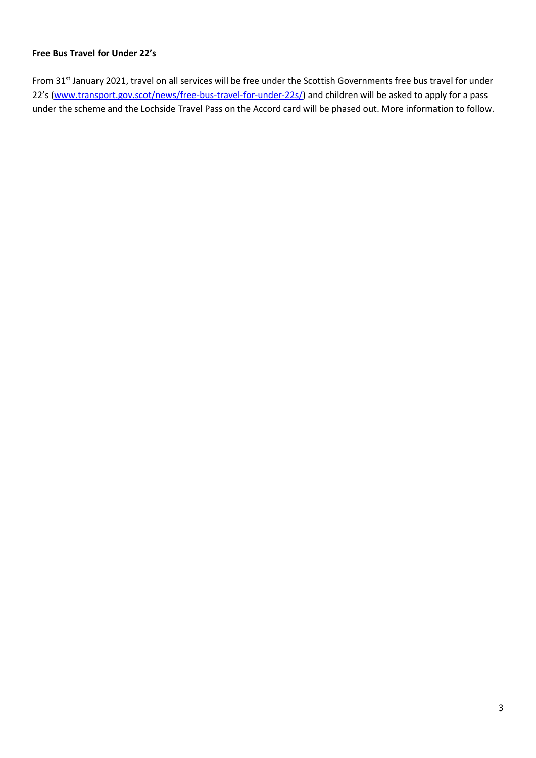#### **Free Bus Travel for Under 22's**

From 31<sup>st</sup> January 2021, travel on all services will be free under the Scottish Governments free bus travel for under 22's [\(www.transport.gov.scot/news/free-bus-travel-for-under-22s/\)](http://www.transport.gov.scot/news/free-bus-travel-for-under-22s/) and children will be asked to apply for a pass under the scheme and the Lochside Travel Pass on the Accord card will be phased out. More information to follow.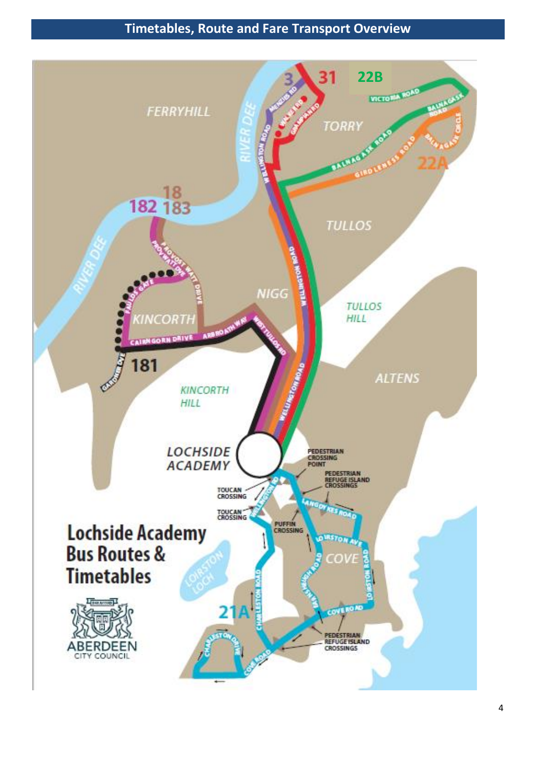## **Timetables, Route and Fare Transport Overview**

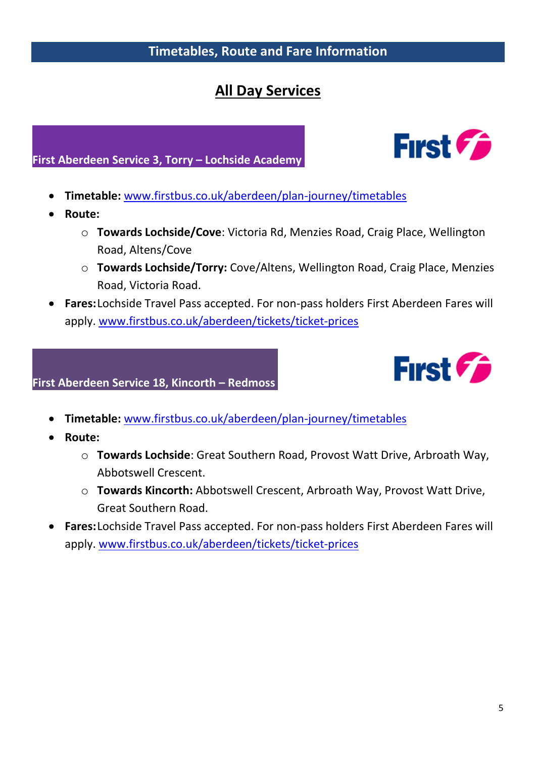## **Timetables, Route and Fare Information**

## **All Day Services**

### **First Aberdeen Service 3, Torry – Lochside Academy**

- **Timetable:** [www.firstbus.co.uk/aberdeen/plan-journey/timetables](http://www.firstbus.co.uk/aberdeen/plan-journey/timetables)
- **Route:**
	- o **Towards Lochside/Cove**: Victoria Rd, Menzies Road, Craig Place, Wellington Road, Altens/Cove
	- o **Towards Lochside/Torry:** Cove/Altens, Wellington Road, Craig Place, Menzies Road, Victoria Road.
- **Fares:**Lochside Travel Pass accepted. For non-pass holders First Aberdeen Fares will apply. [www.firstbus.co.uk/aberdeen/tickets/ticket-prices](http://www.firstbus.co.uk/aberdeen/tickets/ticket-prices)

### **First Aberdeen Service 18, Kincorth – Redmoss**

- **Timetable:** [www.firstbus.co.uk/aberdeen/plan-journey/timetables](http://www.firstbus.co.uk/aberdeen/plan-journey/timetables)
- **Route:**
	- o **Towards Lochside**: Great Southern Road, Provost Watt Drive, Arbroath Way, Abbotswell Crescent.
	- o **Towards Kincorth:** Abbotswell Crescent, Arbroath Way, Provost Watt Drive, Great Southern Road.
- **Fares:**Lochside Travel Pass accepted. For non-pass holders First Aberdeen Fares will apply. [www.firstbus.co.uk/aberdeen/tickets/ticket-prices](http://www.firstbus.co.uk/aberdeen/tickets/ticket-prices)



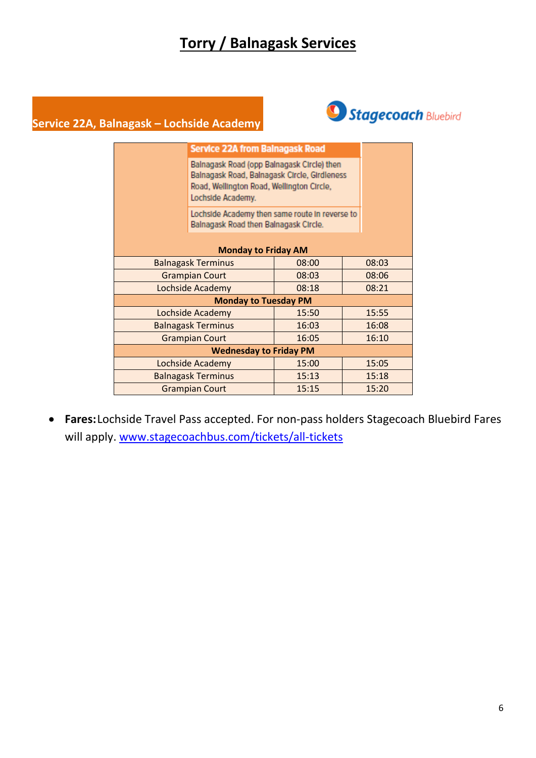## **Torry / Balnagask Services**

### **Service 22A, Balnagask – Lochside Academy**



| <b>Monday to Friday AM</b>    |  |  |  |
|-------------------------------|--|--|--|
|                               |  |  |  |
|                               |  |  |  |
|                               |  |  |  |
|                               |  |  |  |
|                               |  |  |  |
|                               |  |  |  |
|                               |  |  |  |
| <b>Wednesday to Friday PM</b> |  |  |  |
|                               |  |  |  |
|                               |  |  |  |
|                               |  |  |  |
|                               |  |  |  |

• **Fares:**Lochside Travel Pass accepted. For non-pass holders Stagecoach Bluebird Fares will apply. [www.stagecoachbus.com/tickets/all-tickets](http://www.stagecoachbus.com/tickets/all-tickets)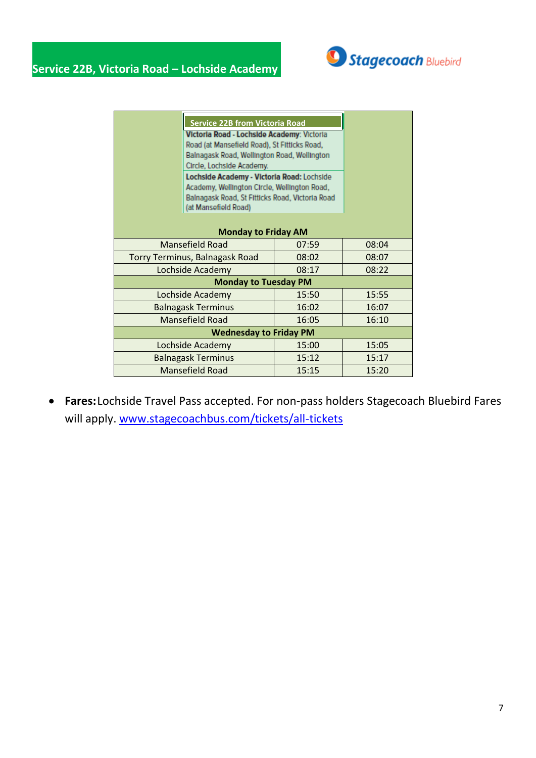

| <b>Service 22B from Victoria Road</b><br>Victoria Road - Lochside Academy: Victoria<br>Road (at Mansefield Road), St Fitticks Road,<br>Balnagask Road, Wellington Road, Wellington<br>Circle, Lochside Academy. |                                                                                                                                                                       |       |       |
|-----------------------------------------------------------------------------------------------------------------------------------------------------------------------------------------------------------------|-----------------------------------------------------------------------------------------------------------------------------------------------------------------------|-------|-------|
|                                                                                                                                                                                                                 | Lochside Academy - Victoria Road: Lochside<br>Academy, Wellington Circle, Wellington Road,<br>Balnagask Road, St Fitticks Road, Victoria Road<br>(at Mansefield Road) |       |       |
| <b>Monday to Friday AM</b>                                                                                                                                                                                      |                                                                                                                                                                       |       |       |
| <b>Mansefield Road</b><br>08:04<br>07:59                                                                                                                                                                        |                                                                                                                                                                       |       |       |
| <b>Torry Terminus, Balnagask Road</b><br>08:02                                                                                                                                                                  |                                                                                                                                                                       | 08:07 |       |
| Lochside Academy<br>08:17                                                                                                                                                                                       |                                                                                                                                                                       | 08:22 |       |
| <b>Monday to Tuesday PM</b>                                                                                                                                                                                     |                                                                                                                                                                       |       |       |
| Lochside Academy<br>15:50                                                                                                                                                                                       |                                                                                                                                                                       | 15:55 |       |
| <b>Balnagask Terminus</b>                                                                                                                                                                                       |                                                                                                                                                                       | 16:02 | 16:07 |
| <b>Mansefield Road</b><br>16:05                                                                                                                                                                                 |                                                                                                                                                                       | 16:10 |       |
| <b>Wednesday to Friday PM</b>                                                                                                                                                                                   |                                                                                                                                                                       |       |       |
|                                                                                                                                                                                                                 | Lochside Academy                                                                                                                                                      | 15:00 | 15:05 |
| <b>Balnagask Terminus</b>                                                                                                                                                                                       |                                                                                                                                                                       | 15:12 | 15:17 |
| <b>Mansefield Road</b><br>15:15                                                                                                                                                                                 |                                                                                                                                                                       | 15:20 |       |

• **Fares:**Lochside Travel Pass accepted. For non-pass holders Stagecoach Bluebird Fares will apply. [www.stagecoachbus.com/tickets/all-tickets](http://www.stagecoachbus.com/tickets/all-tickets)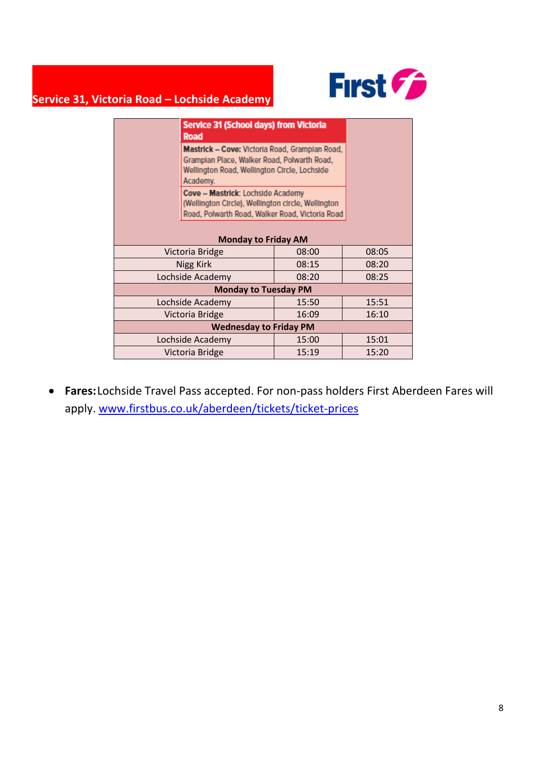

## **Service 31, Victoria Road – Lochside Academy**

|                                   | <b>Service 31 (School days) from Victoria</b><br>Road                                                                                                     |       |       |  |
|-----------------------------------|-----------------------------------------------------------------------------------------------------------------------------------------------------------|-------|-------|--|
|                                   | Mastrick - Cove: Victoria Road, Grampian Road,<br>Grampian Place, Walker Road, Polwarth Road,<br>Wellington Road, Wellington Circle, Lochside<br>Academy. |       |       |  |
|                                   | Cove - Mastrick: Lochside Academy<br>(Wellington Circle), Wellington circle, Wellington<br>Road, Polwarth Road, Walker Road, Victoria Road                |       |       |  |
| <b>Monday to Friday AM</b>        |                                                                                                                                                           |       |       |  |
| 08:00<br>08:05<br>Victoria Bridge |                                                                                                                                                           |       |       |  |
| Nigg Kirk                         |                                                                                                                                                           | 08:15 | 08:20 |  |
| Lochside Academy<br>08:20         |                                                                                                                                                           | 08:25 |       |  |
| <b>Monday to Tuesday PM</b>       |                                                                                                                                                           |       |       |  |
|                                   | Lochside Academy                                                                                                                                          | 15:50 | 15:51 |  |
| 16:09<br>Victoria Bridge          |                                                                                                                                                           | 16:10 |       |  |
| <b>Wednesday to Friday PM</b>     |                                                                                                                                                           |       |       |  |
|                                   | Lochside Academy                                                                                                                                          | 15:00 | 15:01 |  |
| 15:19<br>Victoria Bridge          |                                                                                                                                                           | 15:20 |       |  |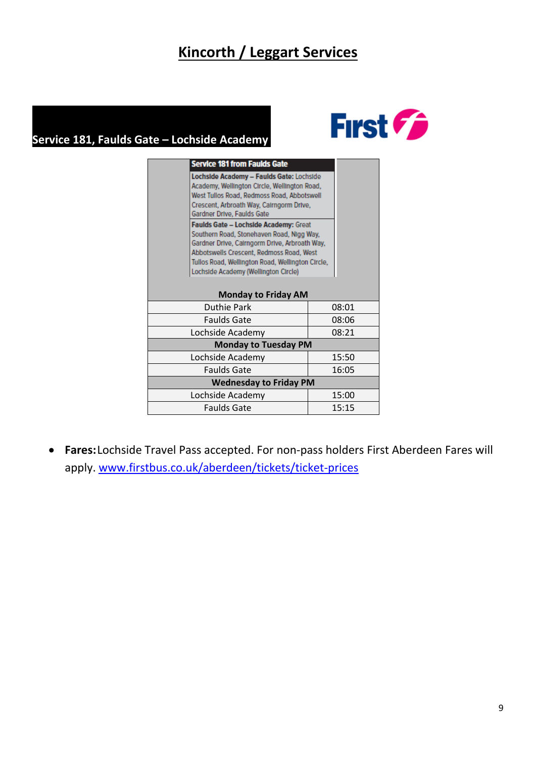## **Kincorth / Leggart Services**

## Service 181, Faulds Gate - Lochside Academy



| <b>Service 181 from Faulds Gate</b>                                                                                                                                                                                                                                         |       |  |
|-----------------------------------------------------------------------------------------------------------------------------------------------------------------------------------------------------------------------------------------------------------------------------|-------|--|
| Lochside Academy - Faulds Gate: Lochside<br>Academy, Wellington Circle, Wellington Road,<br>West Tullos Road, Redmoss Road, Abbotswell<br>Crescent, Arbroath Way, Calrngorm Drive,<br>Gardner Drive, Faulds Gate                                                            |       |  |
| Faulds Gate - Lochside Academy: Great<br>Southern Road, Stonehaven Road, Nigg Way,<br>Gardner Drive, Cairngorm Drive, Arbroath Way,<br>Abbotswells Crescent, Redmoss Road, West<br>Tullos Road, Wellington Road, Wellington Circle,<br>Lochside Academy (Wellington Circle) |       |  |
| <b>Monday to Friday AM</b>                                                                                                                                                                                                                                                  |       |  |
| <b>Duthie Park</b>                                                                                                                                                                                                                                                          | 08:01 |  |
| Faulds Gate                                                                                                                                                                                                                                                                 | 08:06 |  |
| Lochside Academy                                                                                                                                                                                                                                                            | 08:21 |  |
| <b>Monday to Tuesday PM</b>                                                                                                                                                                                                                                                 |       |  |
| Lochside Academy                                                                                                                                                                                                                                                            | 15:50 |  |
| Faulds Gate                                                                                                                                                                                                                                                                 | 16:05 |  |
| <b>Wednesday to Friday PM</b>                                                                                                                                                                                                                                               |       |  |
| Lochside Academy                                                                                                                                                                                                                                                            | 15:00 |  |
| Faulds Gate                                                                                                                                                                                                                                                                 | 15:15 |  |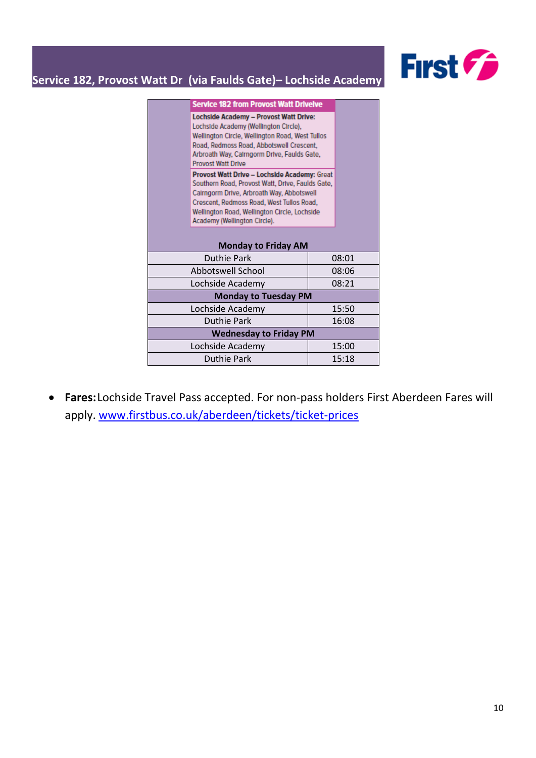

## **Service 182, Provost Watt Dr (via Faulds Gate)– Lochside Academy ```**

| <b>Service 182 from Provost Watt Drivelve</b>                                                                                                                                                                                                                              |       |  |  |
|----------------------------------------------------------------------------------------------------------------------------------------------------------------------------------------------------------------------------------------------------------------------------|-------|--|--|
| Lochside Academy - Provost Watt Drive:<br>Lochside Academy (Wellington Circle),<br>Wellington Circle, Wellington Road, West Tullos<br>Road, Redmoss Road, Abbotswell Crescent,<br>Arbroath Way, Calrngorm Drive, Faulds Gate,<br>Provost Watt Drive                        |       |  |  |
| Provost Watt Drive - Lochside Academy: Great<br>Southern Road, Provost Watt, Drive, Faulds Gate,<br>Calrngorm Drive, Arbroath Way, Abbotswell<br>Crescent, Redmoss Road, West Tullos Road,<br>Wellington Road, Wellington Circle, Lochside<br>Academy (Wellington Circle). |       |  |  |
| <b>Monday to Friday AM</b>                                                                                                                                                                                                                                                 |       |  |  |
| Duthie Park                                                                                                                                                                                                                                                                | 08:01 |  |  |
| Abbotswell School                                                                                                                                                                                                                                                          | 08:06 |  |  |
| Lochside Academy                                                                                                                                                                                                                                                           | 08:21 |  |  |
| <b>Monday to Tuesday PM</b>                                                                                                                                                                                                                                                |       |  |  |
| Lochside Academy                                                                                                                                                                                                                                                           | 15:50 |  |  |
| Duthie Park                                                                                                                                                                                                                                                                | 16:08 |  |  |
| <b>Wednesday to Friday PM</b>                                                                                                                                                                                                                                              |       |  |  |
| Lochside Academy                                                                                                                                                                                                                                                           | 15:00 |  |  |
| Duthie Park                                                                                                                                                                                                                                                                | 15:18 |  |  |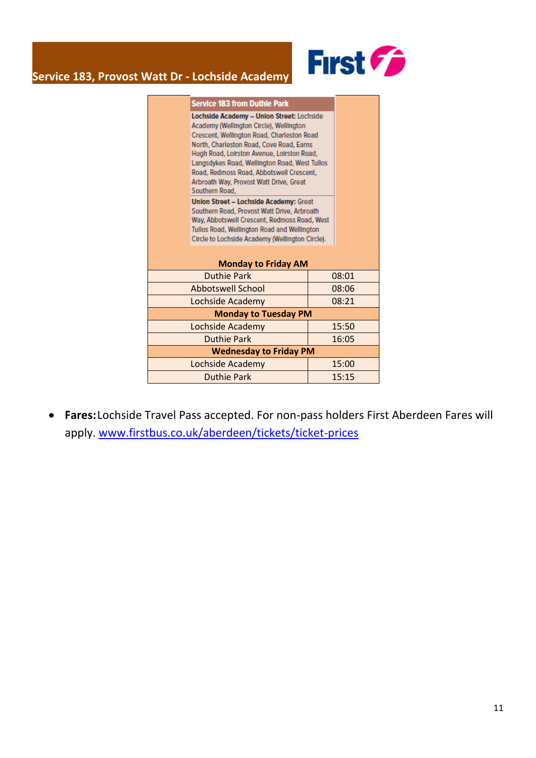

### **Service 183, Provost Watt Dr - Lochside Academy ```**

|                                                                                                                                                                                                                                                                                                                                                                                        | <b>Service 183 from Duthle Park</b> |       |       |  |
|----------------------------------------------------------------------------------------------------------------------------------------------------------------------------------------------------------------------------------------------------------------------------------------------------------------------------------------------------------------------------------------|-------------------------------------|-------|-------|--|
| Lochside Academy - Union Street: Lochside<br>Academy (Wellington Circle), Wellington<br>Crescent, Wellington Road, Charleston Road<br>North, Charleston Road, Cove Road, Earns<br>Hugh Road, Loirston Avenue, Loirston Road,<br>Langsdykes Road, Wellington Road, West Tullos<br>Road, Redmoss Road, Abbotswell Crescent,<br>Arbroath Way, Provost Watt Drive, Great<br>Southern Road. |                                     |       |       |  |
| Union Street - Lochside Academy: Great<br>Southern Road, Provost Watt Drive, Arbroath<br>Way, Abbotswell Crescent, Redmoss Road, West<br>Tullos Road, Wellington Road and Wellington<br>Circle to Lochside Academy (Wellington Circle).                                                                                                                                                |                                     |       |       |  |
| <b>Monday to Friday AM</b>                                                                                                                                                                                                                                                                                                                                                             |                                     |       |       |  |
| <b>Duthie Park</b><br>08:01                                                                                                                                                                                                                                                                                                                                                            |                                     |       |       |  |
| <b>Abbotswell School</b>                                                                                                                                                                                                                                                                                                                                                               |                                     |       | 08:06 |  |
| Lochside Academy                                                                                                                                                                                                                                                                                                                                                                       |                                     | 08:21 |       |  |
| <b>Monday to Tuesday PM</b>                                                                                                                                                                                                                                                                                                                                                            |                                     |       |       |  |
|                                                                                                                                                                                                                                                                                                                                                                                        | Lochside Academy                    |       | 15:50 |  |
| <b>Duthie Park</b>                                                                                                                                                                                                                                                                                                                                                                     |                                     |       | 16:05 |  |
| <b>Wednesday to Friday PM</b>                                                                                                                                                                                                                                                                                                                                                          |                                     |       |       |  |
|                                                                                                                                                                                                                                                                                                                                                                                        | Lochside Academy                    |       | 15:00 |  |
|                                                                                                                                                                                                                                                                                                                                                                                        | <b>Duthie Park</b>                  |       | 15:15 |  |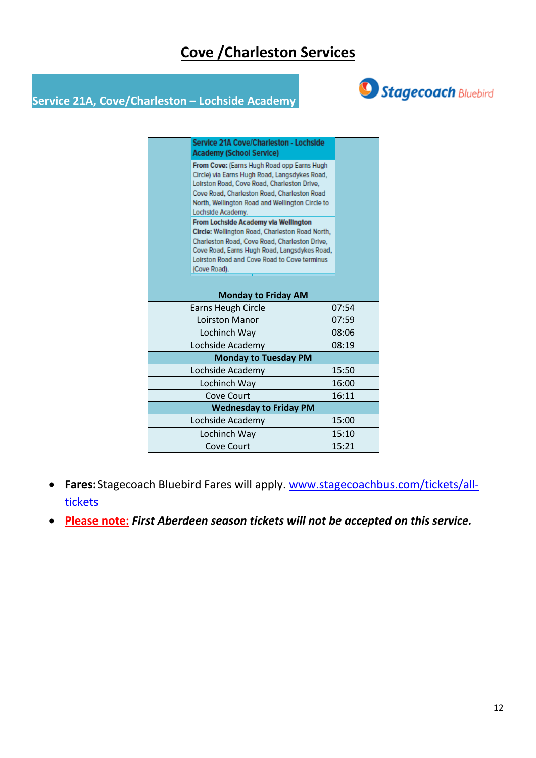## **Cove /Charleston Services**



## **Service 21A, Cove/Charleston – Lochside Academy**

|                            | Service 21A Cove/Charleston - Lochside<br><b>Academy (School Service)</b>                                                                                                                                                                                         |       |       |
|----------------------------|-------------------------------------------------------------------------------------------------------------------------------------------------------------------------------------------------------------------------------------------------------------------|-------|-------|
|                            | From Cove: (Earns Hugh Road opp Earns Hugh<br>Circle) via Earns Hugh Road, Langsdykes Road,<br>Loirston Road, Cove Road, Charleston Drive,<br>Cove Road, Charleston Road, Charleston Road<br>North, Wellington Road and Wellington Circle to<br>Lochside Academy. |       |       |
|                            | From Lochside Academy via Wellington<br>Circle: Wellington Road, Charleston Road North,<br>Charleston Road, Cove Road, Charleston Drive,<br>Cove Road, Earns Hugh Road, Langsdykes Road,<br>Loirston Road and Cove Road to Cove terminus<br>(Cove Road).          |       |       |
| <b>Monday to Friday AM</b> |                                                                                                                                                                                                                                                                   |       |       |
|                            | <b>Earns Heugh Circle</b>                                                                                                                                                                                                                                         |       | 07:54 |
| Loirston Manor             |                                                                                                                                                                                                                                                                   |       | 07:59 |
| Lochinch Way               |                                                                                                                                                                                                                                                                   | 08:06 |       |
| Lochside Academy           |                                                                                                                                                                                                                                                                   |       | 08:19 |
|                            | <b>Monday to Tuesday PM</b>                                                                                                                                                                                                                                       |       |       |
| Lochside Academy           |                                                                                                                                                                                                                                                                   |       | 15:50 |
|                            | Lochinch Way                                                                                                                                                                                                                                                      |       | 16:00 |
|                            | Cove Court                                                                                                                                                                                                                                                        |       | 16:11 |
|                            | <b>Wednesday to Friday PM</b>                                                                                                                                                                                                                                     |       |       |
|                            | Lochside Academy                                                                                                                                                                                                                                                  |       | 15:00 |
|                            | Lochinch Way                                                                                                                                                                                                                                                      |       | 15:10 |
|                            | <b>Cove Court</b>                                                                                                                                                                                                                                                 |       | 15:21 |

- **Fares:**Stagecoach Bluebird Fares will apply. [www.stagecoachbus.com/tickets/all](http://www.stagecoachbus.com/tickets/all-tickets)[tickets](http://www.stagecoachbus.com/tickets/all-tickets)
- **Please note:** *First Aberdeen season tickets will not be accepted on this service.*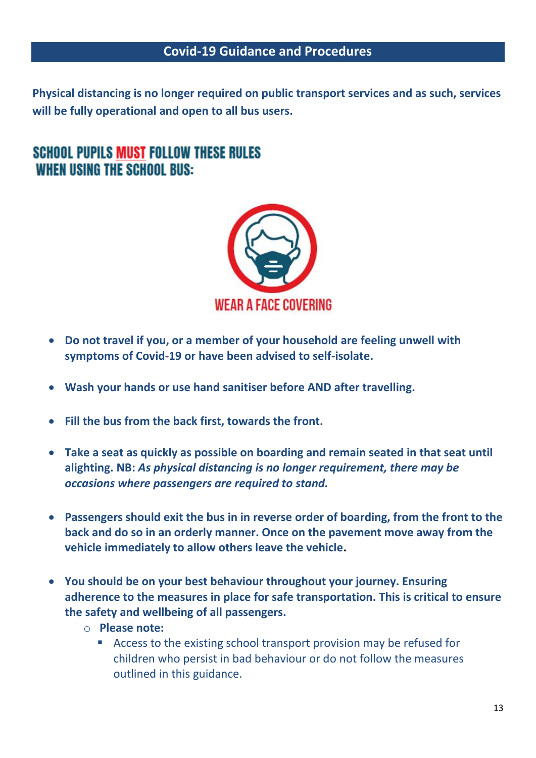### **Covid-19 Guidance and Procedures**

**Physical distancing is no longer required on public transport services and as such, services will be fully operational and open to all bus users.**

## **SCHOOL PUPILS MUST FOLLOW THESE RULES WHEN USING THE SCHOOL BUS:**



- **Do not travel if you, or a member of your household are feeling unwell with symptoms of Covid-19 or have been advised to self-isolate.**
- **Wash your hands or use hand sanitiser before AND after travelling.**
- **Fill the bus from the back first, towards the front.**
- **Take a seat as quickly as possible on boarding and remain seated in that seat until alighting. NB:** *As physical distancing is no longer requirement, there may be occasions where passengers are required to stand.*
- **Passengers should exit the bus in in reverse order of boarding, from the front to the back and do so in an orderly manner. Once on the pavement move away from the vehicle immediately to allow others leave the vehicle.**
- **You should be on your best behaviour throughout your journey. Ensuring adherence to the measures in place for safe transportation. This is critical to ensure the safety and wellbeing of all passengers.**
	- o **Please note:** 
		- Access to the existing school transport provision may be refused for children who persist in bad behaviour or do not follow the measures outlined in this guidance.